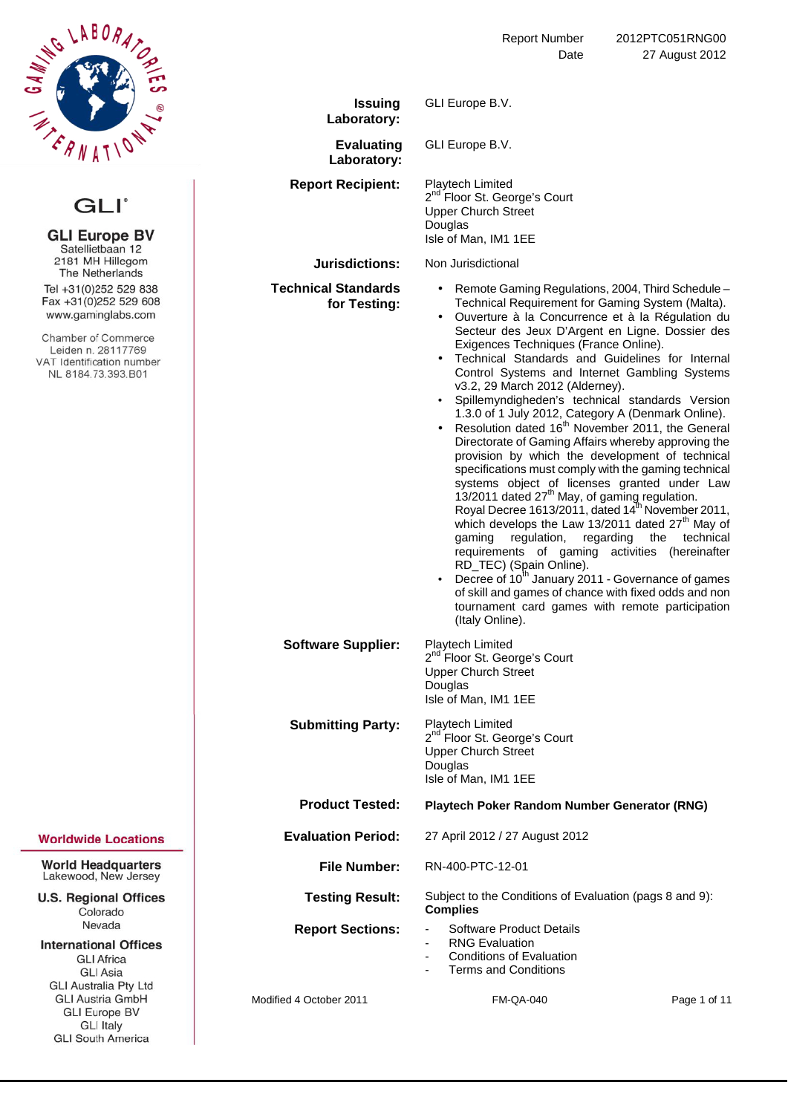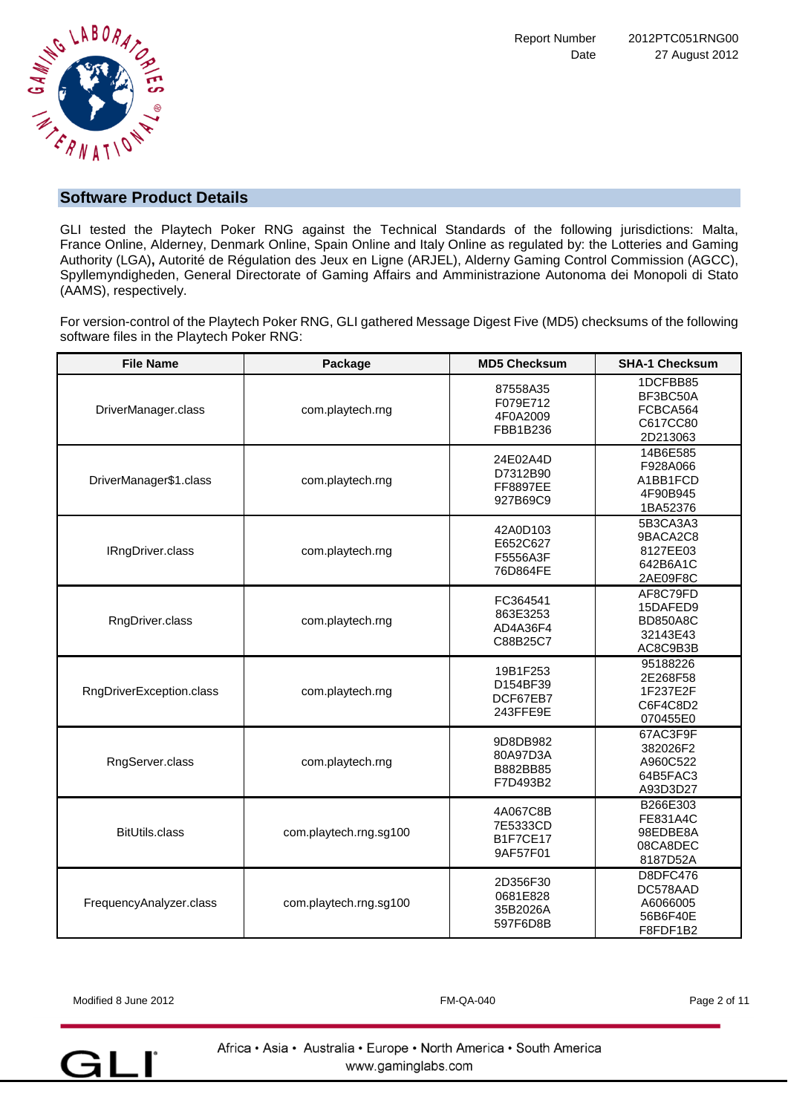

GLI tested the Playtech Poker RNG against the Technical Standards of the following jurisdictions: Malta, France Online, Alderney, Denmark Online, Spain Online and Italy Online as regulated by: the Lotteries and Gaming Authority (LGA)**,** Autorité de Régulation des Jeux en Ligne (ARJEL), Alderny Gaming Control Commission (AGCC), Spyllemyndigheden, General Directorate of Gaming Affairs and Amministrazione Autonoma dei Monopoli di Stato (AAMS), respectively.

For version-control of the Playtech Poker RNG, GLI gathered Message Digest Five (MD5) checksums of the following software files in the Playtech Poker RNG:

| <b>File Name</b>         | Package                | <b>MD5 Checksum</b>                                 | <b>SHA-1 Checksum</b>                                           |
|--------------------------|------------------------|-----------------------------------------------------|-----------------------------------------------------------------|
| DriverManager.class      | com.playtech.rng       | 87558A35<br>F079E712<br>4F0A2009<br>FBB1B236        | 1DCFBB85<br>BF3BC50A<br>FCBCA564<br>C617CC80<br>2D213063        |
| DriverManager\$1.class   | com.playtech.rng       | 24E02A4D<br>D7312B90<br><b>FF8897EE</b><br>927B69C9 | 14B6E585<br>F928A066<br>A1BB1FCD<br>4F90B945<br>1BA52376        |
| IRngDriver.class         | com.playtech.rng       | 42A0D103<br>E652C627<br>F5556A3F<br>76D864FE        | 5B3CA3A3<br>9BACA2C8<br>8127EE03<br>642B6A1C<br>2AE09F8C        |
| RngDriver.class          | com.playtech.rng       | FC364541<br>863E3253<br>AD4A36F4<br>C88B25C7        | AF8C79FD<br>15DAFED9<br><b>BD850A8C</b><br>32143E43<br>AC8C9B3B |
| RngDriverException.class | com.playtech.rng       | 19B1F253<br>D154BF39<br>DCF67EB7<br>243FFE9E        | 95188226<br>2E268F58<br>1F237E2F<br>C6F4C8D2<br>070455E0        |
| RngServer.class          | com.playtech.rng       | 9D8DB982<br>80A97D3A<br>B882BB85<br>F7D493B2        | 67AC3F9F<br>382026F2<br>A960C522<br>64B5FAC3<br>A93D3D27        |
| BitUtils.class           | com.playtech.rng.sg100 | 4A067C8B<br>7E5333CD<br><b>B1F7CE17</b><br>9AF57F01 | B266E303<br>FE831A4C<br>98EDBE8A<br>08CA8DEC<br>8187D52A        |
| FrequencyAnalyzer.class  | com.playtech.rng.sg100 | 2D356F30<br>0681E828<br>35B2026A<br>597F6D8B        | D8DFC476<br>DC578AAD<br>A6066005<br>56B6F40E<br>F8FDF1B2        |

Modified 8 June 2012 FM-QA-040 Page 2 of 11

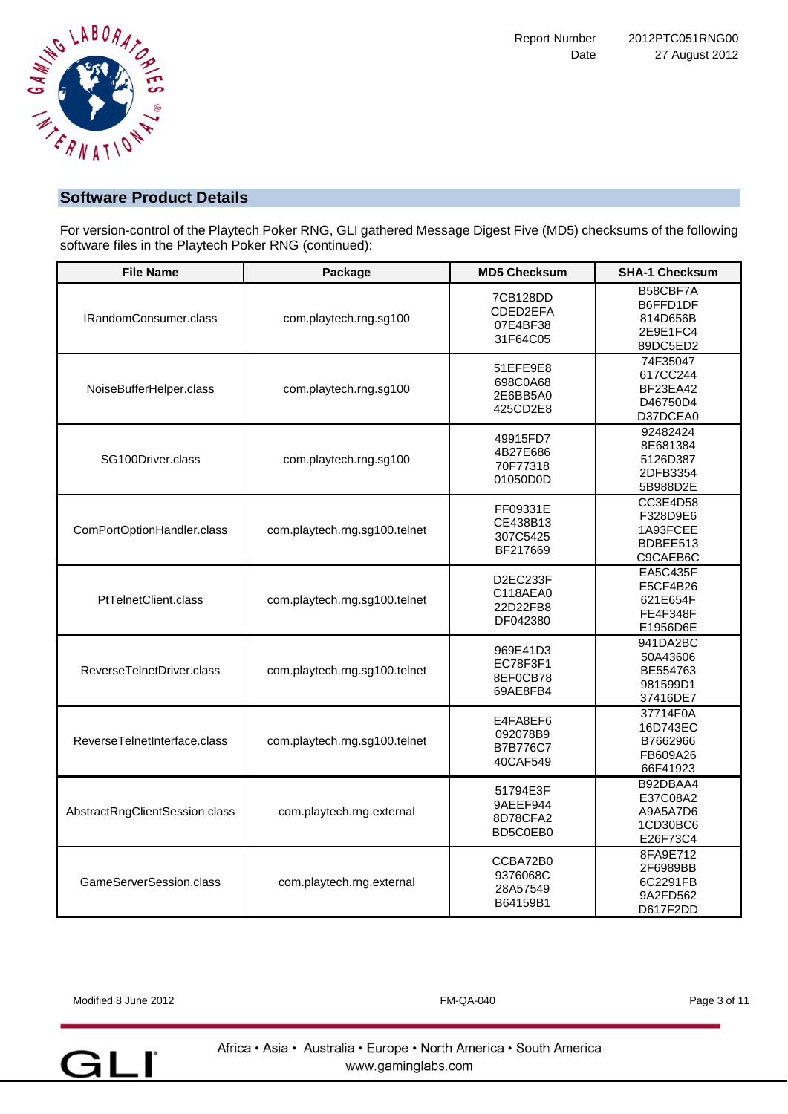

For version-control of the Playtech Poker RNG, GLI gathered Message Digest Five (MD5) checksums of the following software files in the Playtech Poker RNG (continued):

| <b>File Name</b>               | Package                       |                                                     | <b>SHA-1 Checksum</b>                                                  |
|--------------------------------|-------------------------------|-----------------------------------------------------|------------------------------------------------------------------------|
| IRandomConsumer.class          | com.playtech.rng.sg100        | 7CB128DD<br>CDED2EFA<br>07E4BF38<br>31F64C05        | B58CBF7A<br>B6FFD1DF<br>814D656B<br>2E9E1FC4<br>89DC5ED2               |
| NoiseBufferHelper.class        | com.playtech.rng.sg100        |                                                     | 74F35047<br>617CC244<br><b>BF23EA42</b><br>D46750D4<br>D37DCEA0        |
| SG100Driver.class              | com.playtech.rng.sg100        | 49915FD7<br>4B27E686<br>70F77318<br>01050D0D        | 92482424<br>8E681384<br>5126D387<br>2DFB3354<br>5B988D2E               |
| ComPortOptionHandler.class     | com.playtech.rng.sg100.telnet | FF09331E<br>CE438B13<br>307C5425<br>BF217669        | CC3E4D58<br>F328D9E6<br>1A93FCEE<br>BDBEE513<br>C9CAEB6C               |
| PtTelnetClient.class           | com.playtech.rng.sg100.telnet | D2EC233F<br>C118AEA0<br>22D22FB8<br>DF042380        | <b>EA5C435F</b><br>E5CF4B26<br>621E654F<br><b>FE4F348F</b><br>E1956D6E |
| ReverseTelnetDriver.class      | com.playtech.rng.sg100.telnet | 969E41D3<br>EC78F3F1<br>8EF0CB78<br>69AE8FB4        | 941DA2BC<br>50A43606<br>BE554763<br>981599D1<br>37416DE7               |
| ReverseTelnetInterface.class   | com.playtech.rng.sg100.telnet | E4FA8EF6<br>092078B9<br><b>B7B776C7</b><br>40CAF549 | 37714F0A<br>16D743EC<br>B7662966<br>FB609A26<br>66F41923               |
| AbstractRngClientSession.class | com.playtech.rng.external     | 51794E3F<br>9AEEF944<br>8D78CFA2<br>BD5C0EB0        | B92DBAA4<br>E37C08A2<br>A9A5A7D6<br>1CD30BC6<br>E26F73C4               |
| GameServerSession.class        | com.playtech.rng.external     | CCBA72B0<br>9376068C<br>28A57549<br>B64159B1        | 8FA9E712<br>2F6989BB<br>6C2291FB<br>9A2FD562<br>D617F2DD               |

| Modified 8 June 2012 | <b>FM-QA-040</b> | Page 3 of 11 |
|----------------------|------------------|--------------|
|----------------------|------------------|--------------|

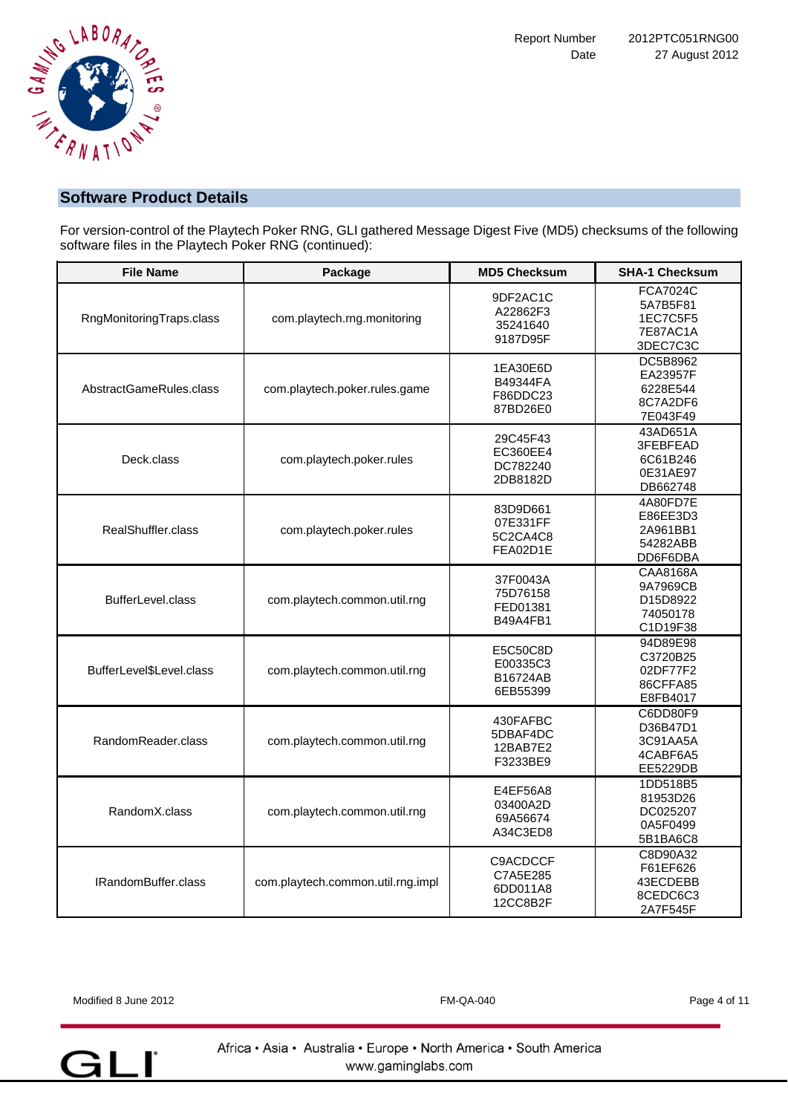

For version-control of the Playtech Poker RNG, GLI gathered Message Digest Five (MD5) checksums of the following software files in the Playtech Poker RNG (continued):

| <b>File Name</b>         | Package                           | <b>MD5 Checksum</b>                                 | <b>SHA-1 Checksum</b>                                           |  |
|--------------------------|-----------------------------------|-----------------------------------------------------|-----------------------------------------------------------------|--|
| RngMonitoringTraps.class | com.playtech.rng.monitoring       | 9DF2AC1C<br>A22862F3<br>35241640<br>9187D95F        | <b>FCA7024C</b><br>5A7B5F81<br>1EC7C5F5<br>7E87AC1A<br>3DEC7C3C |  |
| AbstractGameRules.class  | com.playtech.poker.rules.game     | 1EA30E6D<br><b>B49344FA</b><br>F86DDC23<br>87BD26E0 | DC5B8962<br>EA23957F<br>6228E544<br>8C7A2DF6<br>7E043F49        |  |
| Deck.class               | com.playtech.poker.rules          | 29C45F43<br>EC360EE4<br>DC782240<br>2DB8182D        | 43AD651A<br>3FEBFEAD<br>6C61B246<br>0E31AE97<br>DB662748        |  |
| RealShuffler.class       | com.playtech.poker.rules          | 83D9D661<br>07E331FF<br>5C2CA4C8<br>FEA02D1E        | 4A80FD7E<br>E86EE3D3<br>2A961BB1<br>54282ABB<br>DD6F6DBA        |  |
| BufferLevel.class        | com.playtech.common.util.rng      | 37F0043A<br>75D76158<br>FED01381<br>B49A4FB1        | CAA8168A<br>9A7969CB<br>D15D8922<br>74050178<br>C1D19F38        |  |
| BufferLevel\$Level.class | com.playtech.common.util.rng      | E5C50C8D<br>E00335C3<br>B16724AB<br>6EB55399        | 94D89E98<br>C3720B25<br>02DF77F2<br>86CFFA85<br>E8FB4017        |  |
| RandomReader.class       | com.playtech.common.util.rng      | 430FAFBC<br>5DBAF4DC<br>12BAB7E2<br>F3233BE9        | C6DD80F9<br>D36B47D1<br>3C91AA5A<br>4CABF6A5<br>EE5229DB        |  |
| RandomX.class            | com.playtech.common.util.rng      | E4EF56A8<br>03400A2D<br>69A56674<br>A34C3ED8        | 1DD518B5<br>81953D26<br>DC025207<br>0A5F0499<br>5B1BA6C8        |  |
| IRandomBuffer.class      | com.playtech.common.util.rng.impl | C9ACDCCF<br>C7A5E285<br>6DD011A8<br>12CC8B2F        | C8D90A32<br>F61EF626<br>43ECDEBB<br>8CEDC6C3<br>2A7F545F        |  |

| Modified 8 June 2012 | <b>FM-QA-040</b> | Page 4 of 11 |
|----------------------|------------------|--------------|
|----------------------|------------------|--------------|

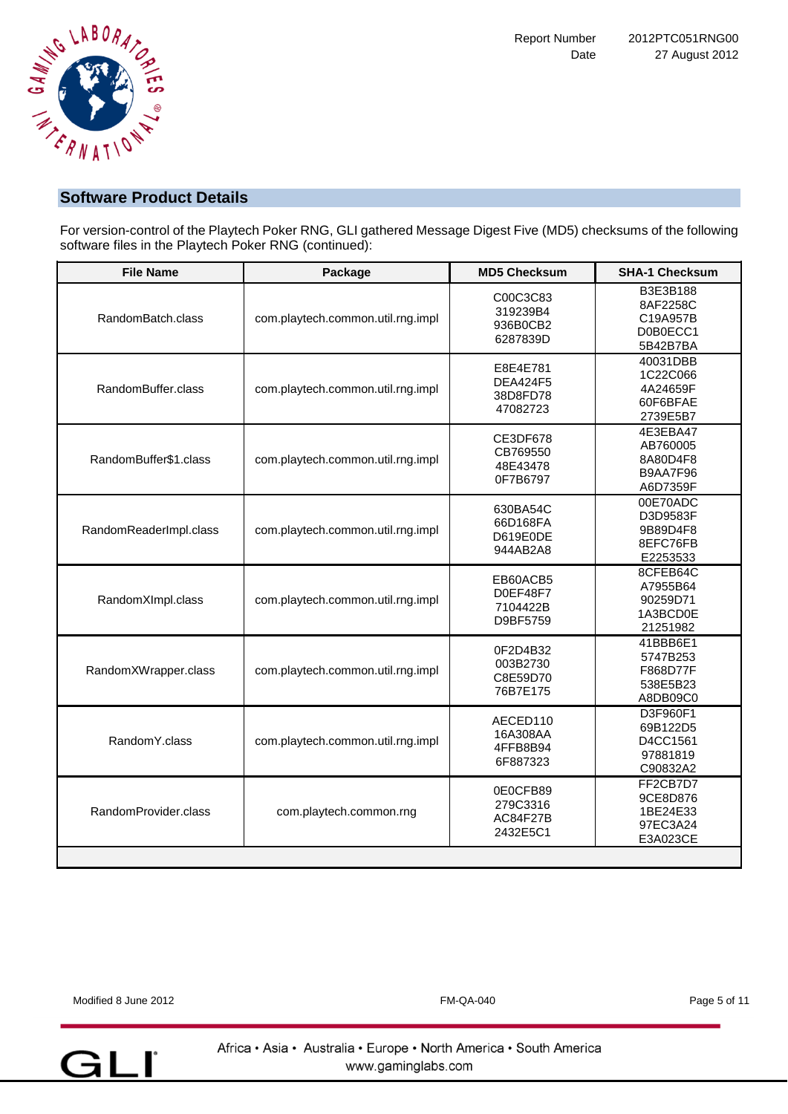

For version-control of the Playtech Poker RNG, GLI gathered Message Digest Five (MD5) checksums of the following software files in the Playtech Poker RNG (continued):

| <b>File Name</b><br>Package                                |                                   | <b>MD5 Checksum</b>                                 | <b>SHA-1 Checksum</b>                                    |
|------------------------------------------------------------|-----------------------------------|-----------------------------------------------------|----------------------------------------------------------|
| RandomBatch.class                                          | com.playtech.common.util.rng.impl | C00C3C83<br>319239B4<br>936B0CB2<br>6287839D        | B3E3B188<br>8AF2258C<br>C19A957B<br>D0B0ECC1<br>5B42B7BA |
| RandomBuffer.class                                         | com.playtech.common.util.rng.impl | E8E4E781<br><b>DEA424F5</b><br>38D8FD78<br>47082723 | 40031DBB<br>1C22C066<br>4A24659F<br>60F6BFAE<br>2739E5B7 |
| RandomBuffer\$1.class<br>com.playtech.common.util.rng.impl |                                   | CE3DF678<br>CB769550<br>48E43478<br>0F7B6797        | 4E3EBA47<br>AB760005<br>8A80D4F8<br>B9AA7F96<br>A6D7359F |
| RandomReaderImpl.class                                     | com.playtech.common.util.rng.impl | 630BA54C<br>66D168FA<br>D619E0DE<br>944AB2A8        | 00E70ADC<br>D3D9583F<br>9B89D4F8<br>8EFC76FB<br>E2253533 |
| RandomXImpl.class                                          | com.playtech.common.util.rng.impl | EB60ACB5<br>D0EF48F7<br>7104422B<br>D9BF5759        | 8CFEB64C<br>A7955B64<br>90259D71<br>1A3BCD0E<br>21251982 |
| RandomXWrapper.class                                       | com.playtech.common.util.rng.impl | 0F2D4B32<br>003B2730<br>C8E59D70<br>76B7E175        | 41BBB6E1<br>5747B253<br>F868D77F<br>538E5B23<br>A8DB09C0 |
| RandomY.class                                              | com.playtech.common.util.rng.impl | AECED110<br>16A308AA<br>4FFB8B94<br>6F887323        | D3F960F1<br>69B122D5<br>D4CC1561<br>97881819<br>C90832A2 |
| RandomProvider.class                                       | com.playtech.common.rng           | 0E0CFB89<br>279C3316<br>AC84F27B<br>2432E5C1        | FF2CB7D7<br>9CE8D876<br>1BE24E33<br>97EC3A24<br>E3A023CE |
|                                                            |                                   |                                                     |                                                          |

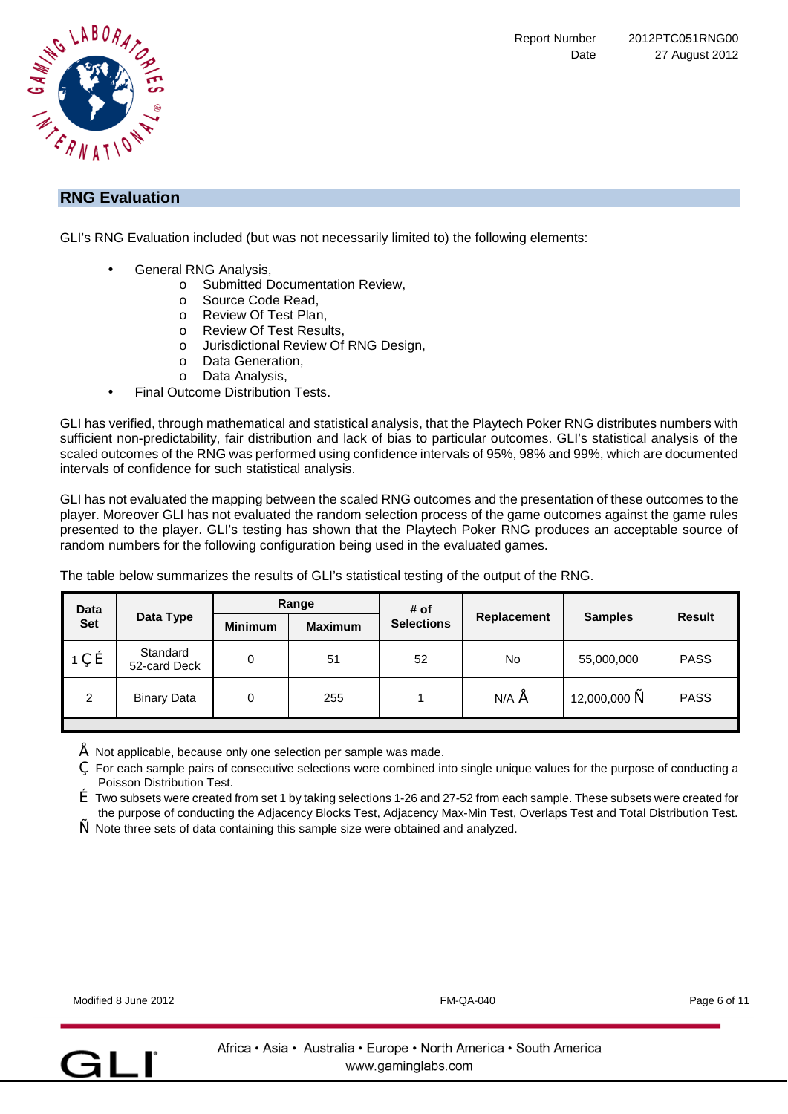

## **RNG Evaluation**

GLI's RNG Evaluation included (but was not necessarily limited to) the following elements:

- General RNG Analysis.
	- o Submitted Documentation Review,
	- o Source Code Read,
	- o Review Of Test Plan,
	- o Review Of Test Results,
	- o Jurisdictional Review Of RNG Design,
	- o Data Generation,
	- o Data Analysis,
- Final Outcome Distribution Tests.

GLI has verified, through mathematic[al and statistical analysis, that the Playtec](http://www.pdfill.com)h Poker RNG distributes numbers with sufficient non-predictability, fair distribution and lack of bias to particular outcomes. GLI's statistical analysis of the scaled outcomes of the RNG was performed using confidence intervals of 95%, 98% and 99%, which are documented intervals of confidence for such statistical analysis.

GLI has not evaluated the mapping between the scaled RNG outcomes and the presentation of these outcomes to the player. Moreover GLI has not evaluated the random selection process of the game outcomes against the game rules presented to the player. GLI's testing has shown that the Playtech Poker RNG produces an acceptable source of random numbers for the following configuration being used in the evaluated games.

| <b>Data</b>        | Range                                                                             |   | # of           |               |                 |             |             |
|--------------------|-----------------------------------------------------------------------------------|---|----------------|---------------|-----------------|-------------|-------------|
| <b>Set</b>         | Data Type<br>Replacement<br><b>Selections</b><br><b>Maximum</b><br><b>Minimum</b> |   | <b>Samples</b> | <b>Result</b> |                 |             |             |
| $\mathbf{f}$<br>1, | Standard<br>52-card Deck                                                          | 0 | 51             | 52            | No              | 55,000,000  | <b>PASS</b> |
| $\overline{2}$     | <b>Binary Data</b>                                                                | 0 | 255            |               | $N/A$ $\bullet$ | 12,000,000, | <b>PASS</b> |
|                    |                                                                                   |   |                |               |                 |             |             |

The table below summarizes the results of GLI's statistical testing of the output of the RNG.

• Not applicable, because only one selection per sample was made.

' For each sample pairs of consecutive selections were combined into single unique values for the purpose of conducting a Poisson Distribution Test.

 $f$  Two subsets were created from set 1 by taking selections 1-26 and 27-52 from each sample. These subsets were created for the purpose of conducting the Adjacency Blocks Test, Adjacency Max-Min Test, Overlaps Test and Total Distribution Test.

Note three sets of data containing this sample size were obtained and analyzed.

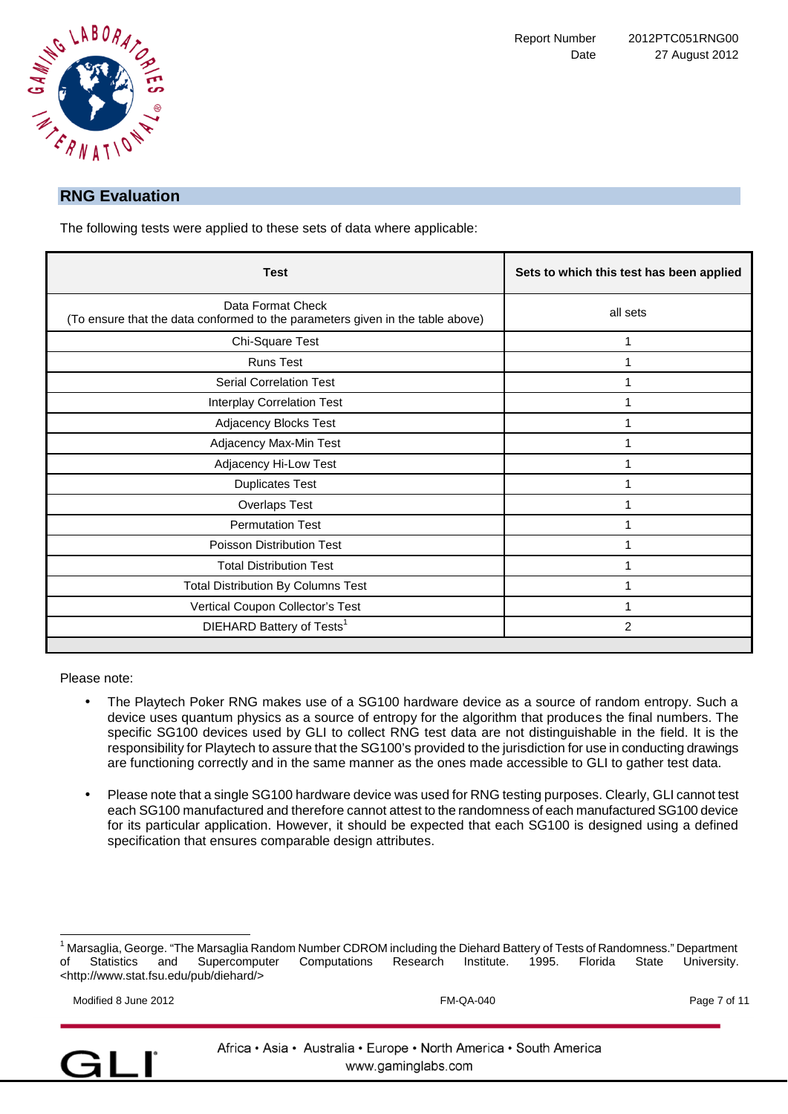

# **RNG Evaluation**

The following tests were applied to these sets of data where applicable:

| <b>Test</b>                                                                                         | Sets to which this test has been applied |
|-----------------------------------------------------------------------------------------------------|------------------------------------------|
| Data Format Check<br>(To ensure that the data conformed to the parameters given in the table above) | all sets                                 |
| Chi-Square Test                                                                                     | 1                                        |
| <b>Runs Test</b>                                                                                    | 1                                        |
| <b>Serial Correlation Test</b>                                                                      | 1                                        |
| <b>Interplay Correlation Test</b>                                                                   |                                          |
| Adjacency Blocks Test                                                                               |                                          |
| Adjacency Max-Min Test                                                                              | 1                                        |
| Adjacency Hi-Low Test                                                                               | 1                                        |
| <b>Duplicates Test</b>                                                                              | 1                                        |
| <b>Overlaps Test</b>                                                                                |                                          |
| <b>Permutation Test</b>                                                                             |                                          |
| <b>Poisson Distribution Test</b>                                                                    | 1                                        |
| <b>Total Distribution Test</b>                                                                      |                                          |
| <b>Total Distribution By Columns Test</b>                                                           |                                          |
| Vertical Coupon Collector's Test                                                                    |                                          |
| DIEHARD Battery of Tests <sup>1</sup>                                                               | $\overline{2}$                           |
|                                                                                                     |                                          |

Please note:

- The Playtech Poker RNG m[akes use of a SG100 hardware device a](http://www.pdfill.com)s a source of random entropy. Such a device uses quantum physics as a source of entropy for the algorithm that produces the final numbers. The specific SG100 devices used by GLI to collect RNG test data are not distinguishable in the field. It is the responsibility for Playtech to assure that the SG100's provided to the jurisdiction for use in conducting drawings are functioning correctly and in the same manner as the ones made accessible to GLI to gather test data.
- Please note that a single SG100 hardware device was used for RNG testing purposes. Clearly, GLI cannot test each SG100 manufactured and therefore cannot attest to the randomness of each manufactured SG100 device for its particular application. However, it should be expected that each SG100 is designed using a defined specification that ensures comparable design attributes.

| June 2012<br>Modified | $-040$<br>FM· | Page<br>0t |
|-----------------------|---------------|------------|
|                       |               |            |
|                       |               |            |



-

<sup>1</sup> Marsaglia, George. "The Marsaglia Random Number CDROM including the Diehard Battery of Tests of Randomness." Department of Statistics and Supercomputer Computations Research Institute. 1995. Florida State University. <<http://www.stat.fsu.edu/pub/diehard/>>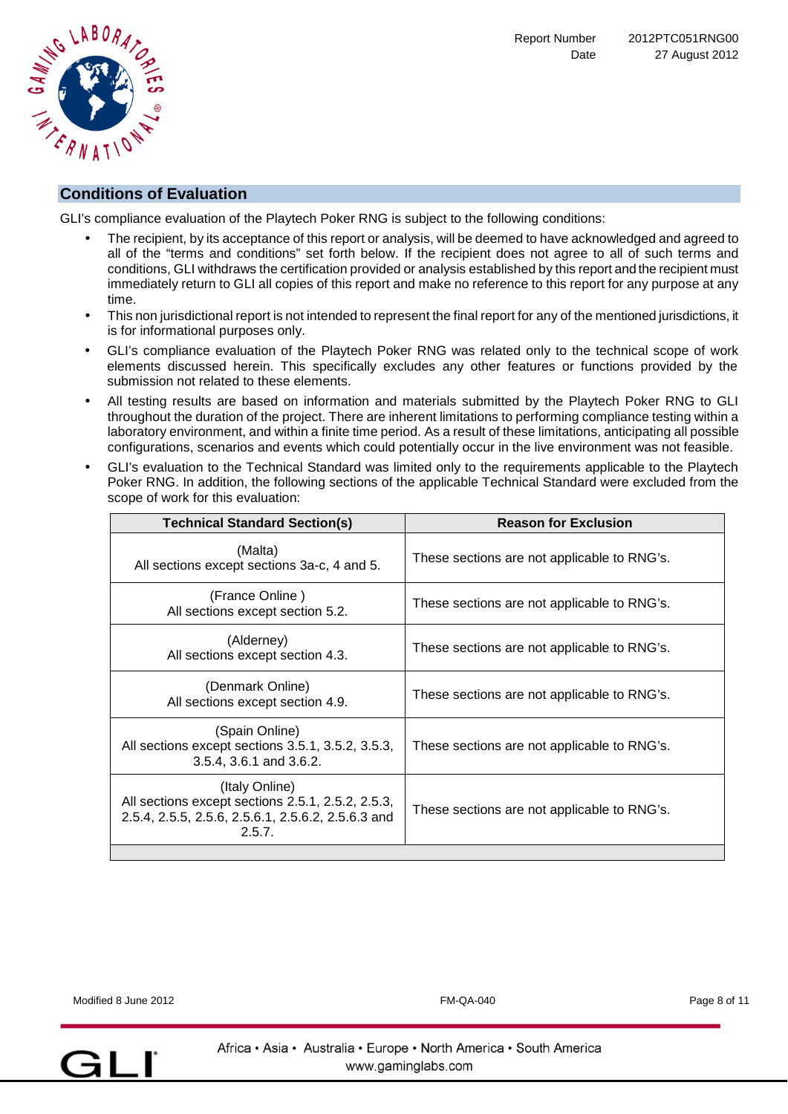

## **Conditions of Evaluation**

GLI's compliance evaluation of the Playtech Poker RNG is subject to the following conditions:

• The recipient, by its acceptance of this report or analysis, will be deemed to have acknowledged and agreed to all of the "terms and conditions" set forth below. If the recipient does not agree to all of such terms and conditions, GLI withdraws the certification provided or analysis established by this report and the recipient must immediately return to GLI all copies of this report and make no reference to this report for any purpose at any time.

- This non jurisdictional report is not intended to represent the final report for any of the mentioned jurisdictions, it is for informational purposes only.
- GLI's compliance evaluation of the Playtech Poker RNG was related only to the technical scope of work elements discussed herein. This specifically excludes any other features or functions provided by the submission not related to these elements.
- All testing results are base[d on information and materials submitte](http://www.pdfill.com)d by the Playtech Poker RNG to GLI throughout the duration of the project. There are inherent limitations to performing compliance testing within a laboratory environment, and within a finite time period. As a result of these limitations, anticipating all possible configurations, scenarios and events which could potentially occur in the live environment was not feasible.
- GLI's evaluation to the Technical Standard was limited only to the requirements applicable to the Playtech Poker RNG. In addition, the following sections of the applicable Technical Standard were excluded from the scope of work for this evaluation:

| <b>Technical Standard Section(s)</b>                                                                                                | <b>Reason for Exclusion</b>                 |
|-------------------------------------------------------------------------------------------------------------------------------------|---------------------------------------------|
| (Malta)<br>All sections except sections 3a-c, 4 and 5.                                                                              | These sections are not applicable to RNG's. |
| (France Online)<br>All sections except section 5.2.                                                                                 | These sections are not applicable to RNG's. |
| (Alderney)<br>All sections except section 4.3.                                                                                      | These sections are not applicable to RNG's. |
| (Denmark Online)<br>All sections except section 4.9.                                                                                | These sections are not applicable to RNG's. |
| (Spain Online)<br>All sections except sections 3.5.1, 3.5.2, 3.5.3,<br>3.5.4, 3.6.1 and 3.6.2.                                      | These sections are not applicable to RNG's. |
| (Italy Online)<br>All sections except sections 2.5.1, 2.5.2, 2.5.3,<br>2.5.4, 2.5.5, 2.5.6, 2.5.6.1, 2.5.6.2, 2.5.6.3 and<br>2.5.7. | These sections are not applicable to RNG's. |

Modified 8 June 2012 **FM-QA-040** Page 8 of 11

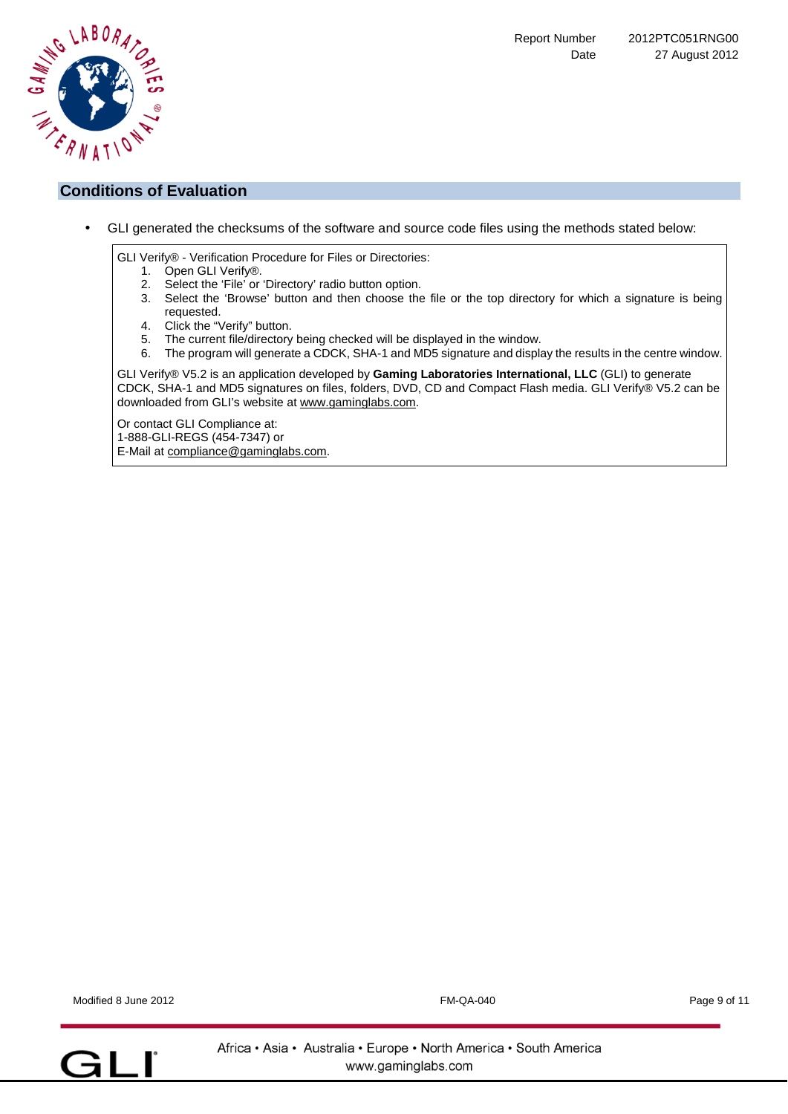



## **Conditions of Evaluation**

GLI generated the checksums of the software and source code files using the methods stated below:

GLI Verify® - Verification Procedure for Files or Directories:

- 1. Open GLI Verify®.
- 2. Select the 'File' or 'Directory' radio button option.
- 3. Select the 'Browse' button and then choose the file or the top directory for which a signature is being requested.
- 4. Click the "Verify" button.<br>5. The current file/directorv
- The current file/directory being checked will be displayed in the window.
- 6. The program will generate a CDCK, SHA-1 and MD5 signature and display the results in the centre window.

GLI Verify® V5.2 is an application developed by **Gaming Laboratories International, LLC** (GLI) to generate CDCK, SHA-1 and MD5 signatures on files, folders, DVD, CD and Compact Flash media. GLI Verify® V5.2 can be downloaded from GLI's websi[te at www.gaminglabs.com.](http://www.pdfill.com)

Or contact GLI Compliance at: 1-888-GLI-REGS (454-7347) or E-Mail at [compliance@gaminglabs.com.](mailto:compliance@gaminglabs.com.)

Modified 8 June 2012 FM-QA-040 Page 9 of 11

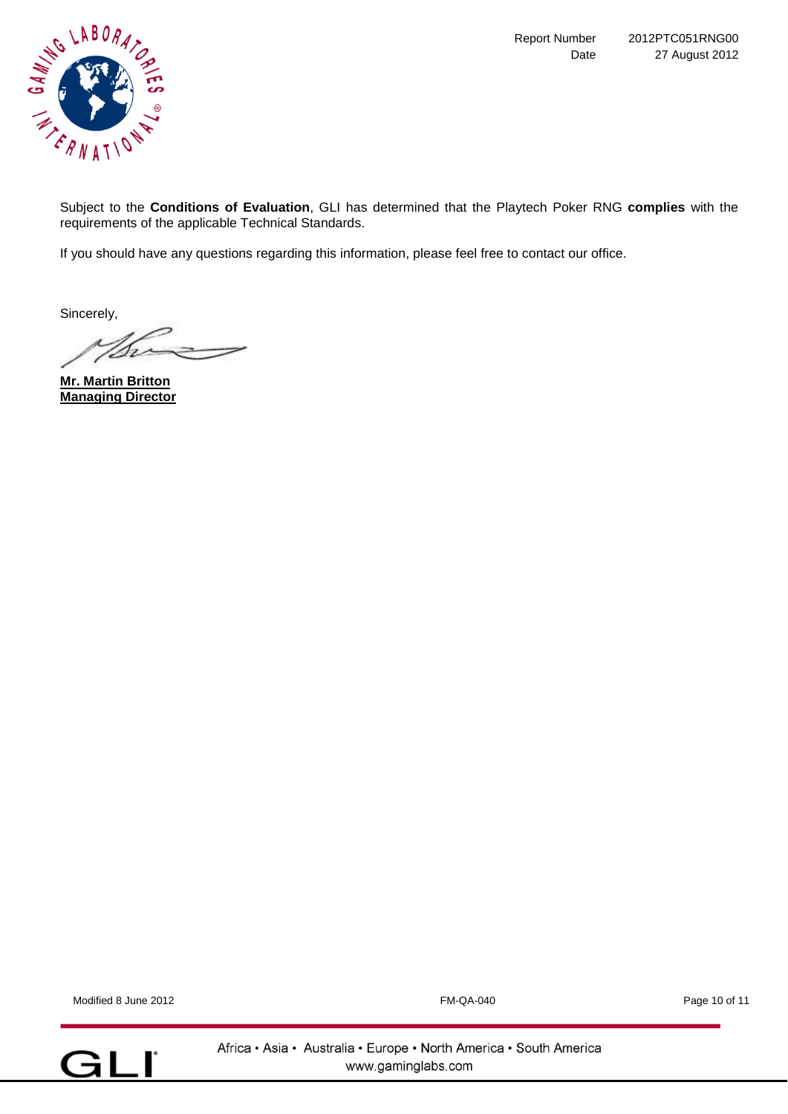

Subject to the **Conditions of Evaluation**, GLI has determined that the Playtech Poker RNG **complies** with the requirements of the applicable Technical Standards.

If you should have any questions regarding this information, please feel free to contact our office.

Sincerely,

**Mr. Martin Britton Managing Director**

Modified 8 June 2012 **Page 10 of 11** Page 10 of 11